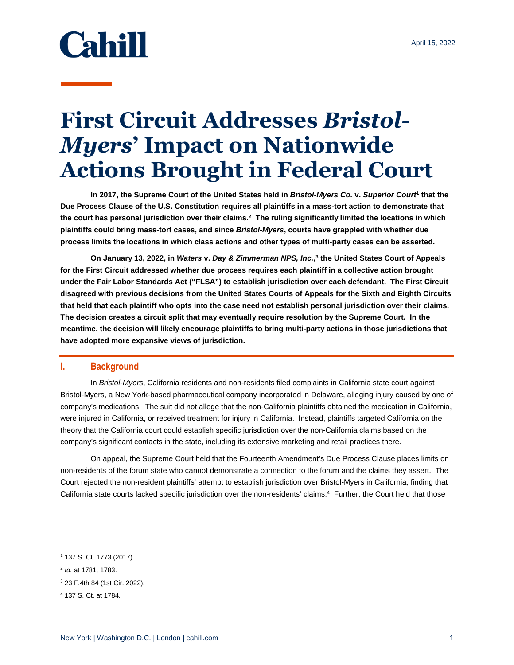# **Cahill**

## **First Circuit Addresses** *Bristol-Myers***' Impact on Nationwide Actions Brought in Federal Court**

**In 2017, the Supreme Court of the United States held in** *Bristol-Myers Co.* **v.** *Superior Court***<sup>1</sup> that the Due Process Clause of the U.S. Constitution requires all plaintiffs in a mass-tort action to demonstrate that the court has personal jurisdiction over their claims.<sup>2</sup> The ruling significantly limited the locations in which plaintiffs could bring mass-tort cases, and since** *Bristol-Myers***, courts have grappled with whether due process limits the locations in which class actions and other types of multi-party cases can be asserted.** 

**On January 13, 2022, in** *Waters* **v.** *Day & Zimmerman NPS, Inc.***, 3 the United States Court of Appeals for the First Circuit addressed whether due process requires each plaintiff in a collective action brought under the Fair Labor Standards Act ("FLSA") to establish jurisdiction over each defendant. The First Circuit disagreed with previous decisions from the United States Courts of Appeals for the Sixth and Eighth Circuits that held that each plaintiff who opts into the case need not establish personal jurisdiction over their claims. The decision creates a circuit split that may eventually require resolution by the Supreme Court. In the meantime, the decision will likely encourage plaintiffs to bring multi-party actions in those jurisdictions that have adopted more expansive views of jurisdiction.** 

#### **I. Background**

In *Bristol-Myers*, California residents and non-residents filed complaints in California state court against Bristol-Myers, a New York-based pharmaceutical company incorporated in Delaware, alleging injury caused by one of company's medications. The suit did not allege that the non-California plaintiffs obtained the medication in California, were injured in California, or received treatment for injury in California. Instead, plaintiffs targeted California on the theory that the California court could establish specific jurisdiction over the non-California claims based on the company's significant contacts in the state, including its extensive marketing and retail practices there.

On appeal, the Supreme Court held that the Fourteenth Amendment's Due Process Clause places limits on non-residents of the forum state who cannot demonstrate a connection to the forum and the claims they assert. The Court rejected the non-resident plaintiffs' attempt to establish jurisdiction over Bristol-Myers in California, finding that California state courts lacked specific jurisdiction over the non-residents' claims.<sup>4</sup> Further, the Court held that those

 $\overline{a}$ 

<sup>1</sup> 137 S. Ct. 1773 (2017).

<sup>2</sup> *Id.* at 1781, 1783.

<sup>3</sup> 23 F.4th 84 (1st Cir. 2022).

<sup>4</sup> 137 S. Ct. at 1784.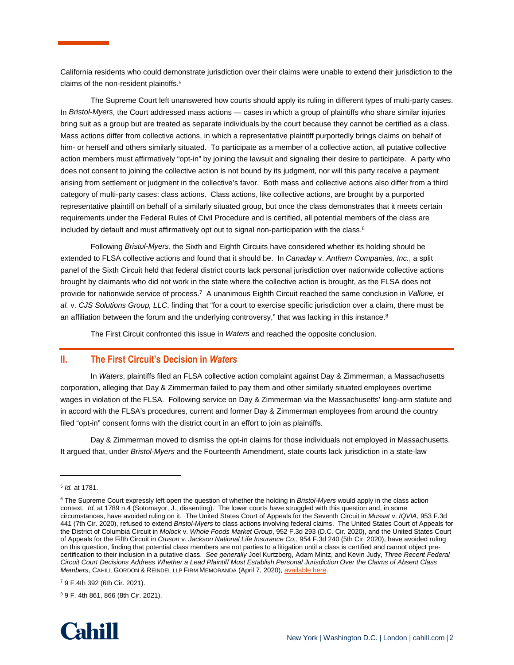California residents who could demonstrate jurisdiction over their claims were unable to extend their jurisdiction to the claims of the non-resident plaintiffs.<sup>5</sup>

The Supreme Court left unanswered how courts should apply its ruling in different types of multi-party cases. In *Bristol-Myers*, the Court addressed mass actions — cases in which a group of plaintiffs who share similar injuries bring suit as a group but are treated as separate individuals by the court because they cannot be certified as a class. Mass actions differ from collective actions, in which a representative plaintiff purportedly brings claims on behalf of him- or herself and others similarly situated. To participate as a member of a collective action, all putative collective action members must affirmatively "opt-in" by joining the lawsuit and signaling their desire to participate. A party who does not consent to joining the collective action is not bound by its judgment, nor will this party receive a payment arising from settlement or judgment in the collective's favor. Both mass and collective actions also differ from a third category of multi-party cases: class actions. Class actions, like collective actions, are brought by a purported representative plaintiff on behalf of a similarly situated group, but once the class demonstrates that it meets certain requirements under the Federal Rules of Civil Procedure and is certified, all potential members of the class are included by default and must affirmatively opt out to signal non-participation with the class.<sup>6</sup>

Following *Bristol-Myers*, the Sixth and Eighth Circuits have considered whether its holding should be extended to FLSA collective actions and found that it should be. In *Canaday* v. *Anthem Companies, Inc.*, a split panel of the Sixth Circuit held that federal district courts lack personal jurisdiction over nationwide collective actions brought by claimants who did not work in the state where the collective action is brought, as the FLSA does not provide for nationwide service of process.<sup>7</sup> A unanimous Eighth Circuit reached the same conclusion in *Vallone, et al.* v. *CJS Solutions Group, LLC*, finding that "for a court to exercise specific jurisdiction over a claim, there must be an affiliation between the forum and the underlying controversy," that was lacking in this instance. $8$ 

The First Circuit confronted this issue in *Waters* and reached the opposite conclusion.

#### **II. The First Circuit's Decision in** *Waters*

In *Waters*, plaintiffs filed an FLSA collective action complaint against Day & Zimmerman, a Massachusetts corporation, alleging that Day & Zimmerman failed to pay them and other similarly situated employees overtime wages in violation of the FLSA. Following service on Day & Zimmerman via the Massachusetts' long-arm statute and in accord with the FLSA's procedures, current and former Day & Zimmerman employees from around the country filed "opt-in" consent forms with the district court in an effort to join as plaintiffs.

Day & Zimmerman moved to dismiss the opt-in claims for those individuals not employed in Massachusetts. It argued that, under *Bristol-Myers* and the Fourteenth Amendment, state courts lack jurisdiction in a state-law

 $\overline{a}$ 

<sup>8</sup> 9 F. 4th 861, 866 (8th Cir. 2021).



<sup>5</sup> *Id.* at 1781.

<sup>6</sup> The Supreme Court expressly left open the question of whether the holding in *Bristol-Myers* would apply in the class action context. *Id.* at 1789 n.4 (Sotomayor, J., dissenting). The lower courts have struggled with this question and, in some circumstances, have avoided ruling on it. The United States Court of Appeals for the Seventh Circuit in *Mussat* v. *IQVIA*, 953 F.3d 441 (7th Cir. 2020), refused to extend *Bristol-Myers* to class actions involving federal claims. The United States Court of Appeals for the District of Columbia Circuit in *Molock* v. *Whole Foods Market Group*, 952 F.3d 293 (D.C. Cir. 2020), and the United States Court of Appeals for the Fifth Circuit in *Cruson* v. *Jackson National Life Insurance Co.*, 954 F.3d 240 (5th Cir. 2020), have avoided ruling on this question, finding that potential class members are not parties to a litigation until a class is certified and cannot object precertification to their inclusion in a putative class. *See generally* Joel Kurtzberg, Adam Mintz, and Kevin Judy, *Three Recent Federal Circuit Court Decisions Address Whether a Lead Plaintiff Must Establish Personal Jurisdiction Over the Claims of Absent Class Members*, CAHILL GORDON & REINDEL LLP FIRM MEMORANDA (April 7, 2020), [available here.](https://www.cahill.com/publications/firm-memoranda/2020-04-07-three-recent-federal-circuit-court-decisions-address-whether-a-lead-plaintiff-must-establish-personal-jurisdiction-over-the-claims-of-absent-class-members/_res/id=Attachments/index=0/Three%20Recent%20Federal%20Circuit%20Court%20Decisions%20Address%20Whether%20a%20Lead%20Plaintiff%20Must%20Establish%20Personal%20Jurisdiction%20Over%20the%20Claims%20of%20Absent%20Class%20Members.pdf) 

<sup>7</sup> 9 F.4th 392 (6th Cir. 2021).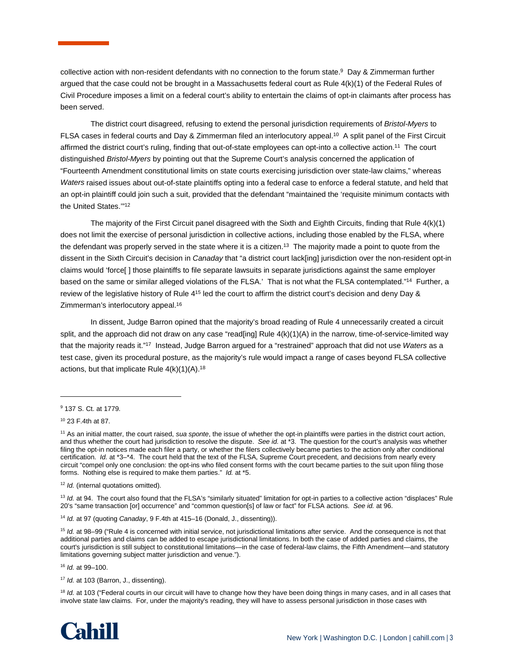collective action with non-resident defendants with no connection to the forum state.<sup>9</sup> Day & Zimmerman further argued that the case could not be brought in a Massachusetts federal court as Rule 4(k)(1) of the Federal Rules of Civil Procedure imposes a limit on a federal court's ability to entertain the claims of opt-in claimants after process has been served.

The district court disagreed, refusing to extend the personal jurisdiction requirements of *Bristol-Myers* to FLSA cases in federal courts and Day & Zimmerman filed an interlocutory appeal.<sup>10</sup> A split panel of the First Circuit affirmed the district court's ruling, finding that out-of-state employees can opt-into a collective action.<sup>11</sup> The court distinguished *Bristol-Myers* by pointing out that the Supreme Court's analysis concerned the application of "Fourteenth Amendment constitutional limits on state courts exercising jurisdiction over state-law claims," whereas *Waters* raised issues about out-of-state plaintiffs opting into a federal case to enforce a federal statute, and held that an opt-in plaintiff could join such a suit, provided that the defendant "maintained the 'requisite minimum contacts with the United States.'"<sup>12</sup>

The majority of the First Circuit panel disagreed with the Sixth and Eighth Circuits, finding that Rule 4(k)(1) does not limit the exercise of personal jurisdiction in collective actions, including those enabled by the FLSA, where the defendant was properly served in the state where it is a citizen.<sup>13</sup> The majority made a point to quote from the dissent in the Sixth Circuit's decision in *Canaday* that "a district court lack[ing] jurisdiction over the non-resident opt-in claims would 'force[ ] those plaintiffs to file separate lawsuits in separate jurisdictions against the same employer based on the same or similar alleged violations of the FLSA.' That is not what the FLSA contemplated."<sup>14</sup> Further, a review of the legislative history of Rule 4<sup>15</sup> led the court to affirm the district court's decision and deny Day & Zimmerman's interlocutory appeal.<sup>16</sup>

In dissent, Judge Barron opined that the majority's broad reading of Rule 4 unnecessarily created a circuit split, and the approach did not draw on any case "read[ing] Rule 4(k)(1)(A) in the narrow, time-of-service-limited way that the majority reads it."<sup>17</sup> Instead, Judge Barron argued for a "restrained" approach that did not use *Waters* as a test case, given its procedural posture, as the majority's rule would impact a range of cases beyond FLSA collective actions, but that implicate Rule  $4(k)(1)(A).$ <sup>18</sup>

l

<sup>13</sup> Id. at 94. The court also found that the FLSA's "similarly situated" limitation for opt-in parties to a collective action "displaces" Rule 20's "same transaction [or] occurrence" and "common question[s] of law or fact" for FLSA actions. *See id.* at 96.

14 *Id.* at 97 (quoting *Canaday*, 9 F.4th at 415–16 (Donald, J., dissenting)).

<sup>15</sup> Id. at 98–99 ("Rule 4 is concerned with initial service, not jurisdictional limitations after service. And the consequence is not that additional parties and claims can be added to escape jurisdictional limitations. In both the case of added parties and claims, the court's jurisdiction is still subject to constitutional limitations—in the case of federal-law claims, the Fifth Amendment—and statutory limitations governing subject matter jurisdiction and venue.").

16 *Id.* at 99–100.

17 *Id.* at 103 (Barron, J., dissenting).

<sup>18</sup> Id. at 103 ("Federal courts in our circuit will have to change how they have been doing things in many cases, and in all cases that involve state law claims. For, under the majority's reading, they will have to assess personal jurisdiction in those cases with



<sup>9</sup> 137 S. Ct. at 1779.

<sup>10</sup> 23 F.4th at 87.

<sup>11</sup> As an initial matter, the court raised, *sua sponte*, the issue of whether the opt-in plaintiffs were parties in the district court action, and thus whether the court had jurisdiction to resolve the dispute. *See id.* at \*3. The question for the court's analysis was whether filing the opt-in notices made each filer a party, or whether the filers collectively became parties to the action only after conditional certification. *Id.* at \*3–\*4. The court held that the text of the FLSA, Supreme Court precedent, and decisions from nearly every circuit "compel only one conclusion: the opt-ins who filed consent forms with the court became parties to the suit upon filing those forms. Nothing else is required to make them parties." *Id.* at \*5.

<sup>12</sup> *Id.* (internal quotations omitted).